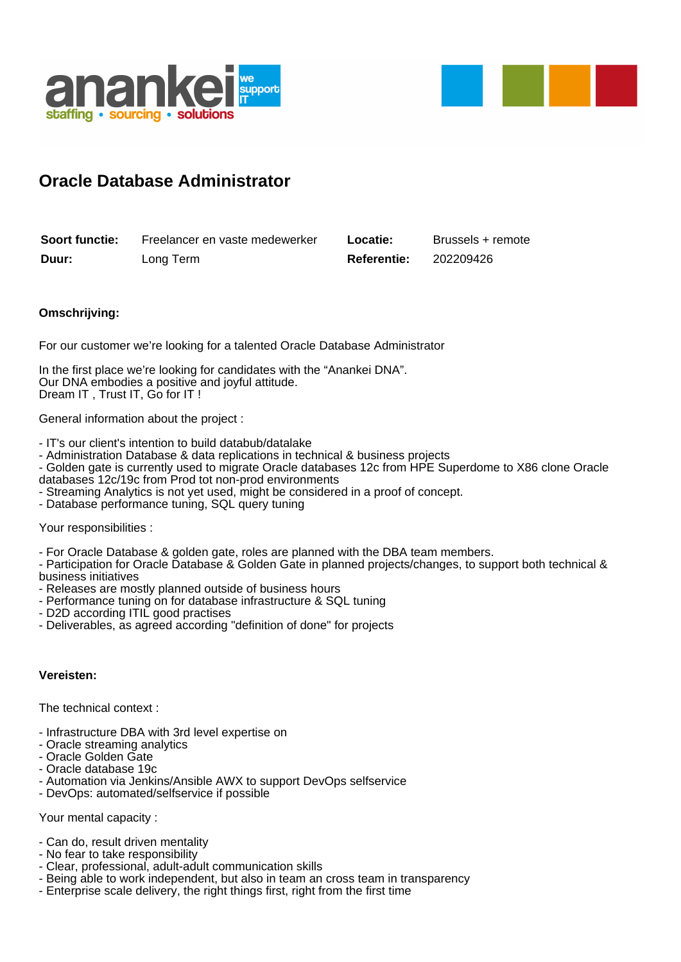



## **Oracle Database Administrator**

| <b>Soort functie:</b> | Freelancer en vaste medewerker | Locatie:           | Brussels + remote |
|-----------------------|--------------------------------|--------------------|-------------------|
| Duur:                 | Long Term                      | <b>Referentie:</b> | 202209426         |

## **Omschrijving:**

For our customer we're looking for a talented Oracle Database Administrator

In the first place we're looking for candidates with the "Anankei DNA". Our DNA embodies a positive and joyful attitude. Dream IT , Trust IT, Go for IT !

General information about the project :

- IT's our client's intention to build databub/datalake
- Administration Database & data replications in technical & business projects

- Golden gate is currently used to migrate Oracle databases 12c from HPE Superdome to X86 clone Oracle databases 12c/19c from Prod tot non-prod environments

- Streaming Analytics is not yet used, might be considered in a proof of concept.
- Database performance tuning, SQL query tuning

Your responsibilities :

- For Oracle Database & golden gate, roles are planned with the DBA team members.

- Participation for Oracle Database & Golden Gate in planned projects/changes, to support both technical & business initiatives

- Releases are mostly planned outside of business hours
- Performance tuning on for database infrastructure & SQL tuning
- D2D according ITIL good practises
- Deliverables, as agreed according "definition of done" for projects

## **Vereisten:**

The technical context :

- Infrastructure DBA with 3rd level expertise on
- Oracle streaming analytics
- Oracle Golden Gate
- Oracle database 19c
- Automation via Jenkins/Ansible AWX to support DevOps selfservice
- DevOps: automated/selfservice if possible

Your mental capacity :

- Can do, result driven mentality
- No fear to take responsibility
- Clear, professional, adult-adult communication skills
- Being able to work independent, but also in team an cross team in transparency
- Enterprise scale delivery, the right things first, right from the first time